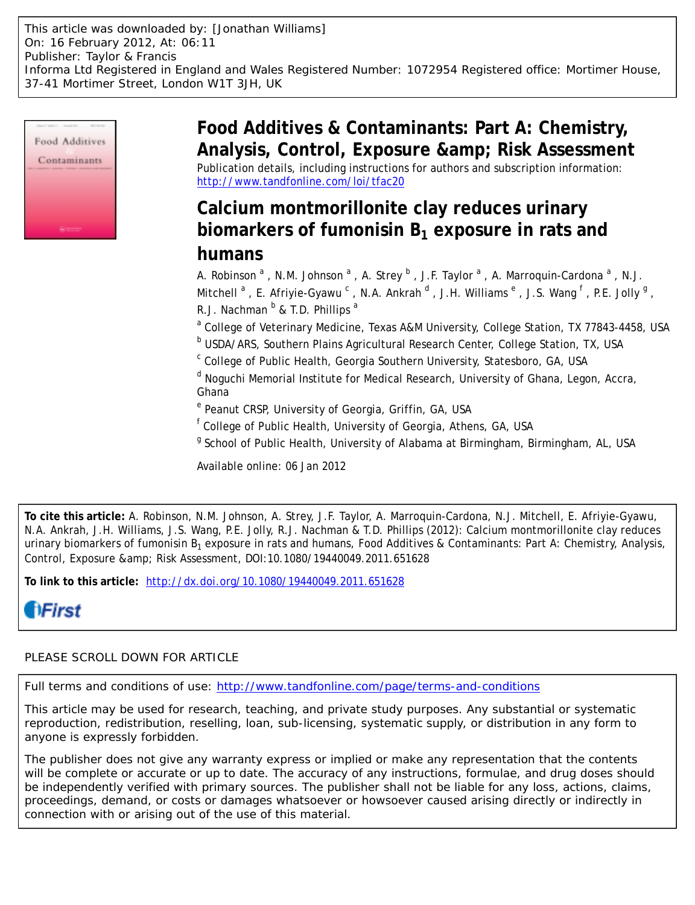

**Food Additives & Contaminants: Part A: Chemistry,** Analysis, Control, Exposure & amp; Risk Assessment Publication details, including instructions for authors and subscription information: <http://www.tandfonline.com/loi/tfac20>

## **Calcium montmorillonite clay reduces urinary biomarkers of fumonisin B1 exposure in rats and humans**

A. Robinson <sup>a</sup>, N.M. Johnson <sup>a</sup>, A. Strey <sup>b</sup>, J.F. Taylor <sup>a</sup>, A. Marroquin-Cardona <sup>a</sup>, N.J. Mitchell  $^{\rm a}$  , E. Afriyie-Gyawu  $^{\rm c}$  , N.A. Ankrah  $^{\rm d}$  , J.H. Williams  $^{\rm e}$  , J.S. Wang  $^{\rm f}$  , P.E. Jolly  $^{\rm g}$  , R.J. Nachman  $^{\text{b}}$  & T.D. Phillips <sup>a</sup>

<sup>a</sup> College of Veterinary Medicine, Texas A&M University, College Station, TX 77843-4458, USA

**b USDA/ARS, Southern Plains Agricultural Research Center, College Station, TX, USA** 

<sup>c</sup> College of Public Health, Georgia Southern University, Statesboro, GA, USA

<sup>d</sup> Noguchi Memorial Institute for Medical Research, University of Ghana, Legon, Accra, Ghana

<sup>e</sup> Peanut CRSP, University of Georgia, Griffin, GA, USA

f College of Public Health, University of Georgia, Athens, GA, USA

<sup>g</sup> School of Public Health, University of Alabama at Birmingham, Birmingham, AL, USA

Available online: 06 Jan 2012

**To cite this article:** A. Robinson, N.M. Johnson, A. Strey, J.F. Taylor, A. Marroquin-Cardona, N.J. Mitchell, E. Afriyie-Gyawu, N.A. Ankrah, J.H. Williams, J.S. Wang, P.E. Jolly, R.J. Nachman & T.D. Phillips (2012): Calcium montmorillonite clay reduces urinary biomarkers of fumonisin  $B_1$  exposure in rats and humans, Food Additives & Contaminants: Part A: Chemistry, Analysis, Control, Exposure & amp; Risk Assessment, DOI:10.1080/19440049.2011.651628

**To link to this article:** <http://dx.doi.org/10.1080/19440049.2011.651628>

# *<u>IHirst</u>*

## PLEASE SCROLL DOWN FOR ARTICLE

Full terms and conditions of use:<http://www.tandfonline.com/page/terms-and-conditions>

This article may be used for research, teaching, and private study purposes. Any substantial or systematic reproduction, redistribution, reselling, loan, sub-licensing, systematic supply, or distribution in any form to anyone is expressly forbidden.

The publisher does not give any warranty express or implied or make any representation that the contents will be complete or accurate or up to date. The accuracy of any instructions, formulae, and drug doses should be independently verified with primary sources. The publisher shall not be liable for any loss, actions, claims, proceedings, demand, or costs or damages whatsoever or howsoever caused arising directly or indirectly in connection with or arising out of the use of this material.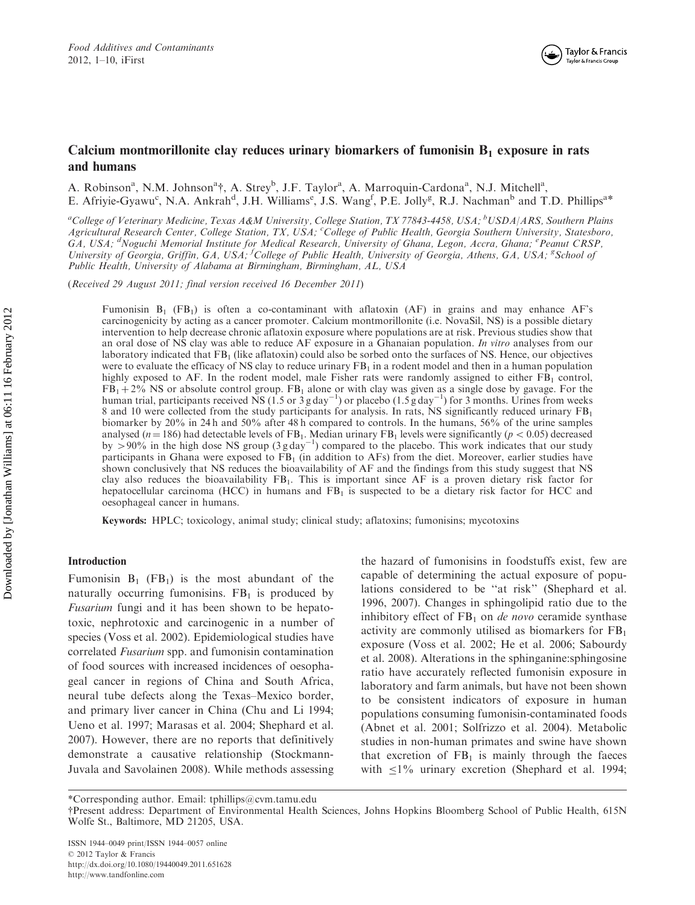

## Calcium montmorillonite clay reduces urinary biomarkers of fumonisin  $B_1$  exposure in rats and humans

A. Robinson<sup>a</sup>, N.M. Johnson<sup>a</sup>†, A. Strey<sup>b</sup>, J.F. Taylor<sup>a</sup>, A. Marroquin-Cardona<sup>a</sup>, N.J. Mitchell<sup>a</sup>, E. Afriyie-Gyawu<sup>c</sup>, N.A. Ankrah<sup>d</sup>, J.H. Williams<sup>e</sup>, J.S. Wang<sup>f</sup>, P.E. Jolly<sup>g</sup>, R.J. Nachman<sup>b</sup> and T.D. Phillips<sup>a\*</sup>

<sup>a</sup>College of Veterinary Medicine, Texas A&M University, College Station, TX 77843-4458, USA; <sup>b</sup>USDA/ARS, Southern Plains Agricultural Research Center, College Station, TX, USA; College of Public Health, Georgia Southern University, Statesboro, GA, USA; <sup>d</sup>Noguchi Memorial Institute for Medical Research, University of Ghana, Legon, Accra, Ghana; <sup>e</sup> Peanut CRSP, University of Georgia, Griffin, GA, USA; <sup>f</sup>College of Public Health, University of Georgia, Athens, GA, USA; <sup>g</sup>School of Public Health, University of Alabama at Birmingham, Birmingham, AL, USA

(Received 29 August 2011; final version received 16 December 2011)

Fumonisin  $B_1$  (FB<sub>1</sub>) is often a co-contaminant with aflatoxin (AF) in grains and may enhance AF's carcinogenicity by acting as a cancer promoter. Calcium montmorillonite (i.e. NovaSil, NS) is a possible dietary intervention to help decrease chronic aflatoxin exposure where populations are at risk. Previous studies show that an oral dose of NS clay was able to reduce AF exposure in a Ghanaian population. In vitro analyses from our laboratory indicated that  $FB<sub>1</sub>$  (like aflatoxin) could also be sorbed onto the surfaces of NS. Hence, our objectives were to evaluate the efficacy of NS clay to reduce urinary  $FB<sub>1</sub>$  in a rodent model and then in a human population highly exposed to AF. In the rodent model, male Fisher rats were randomly assigned to either  $FB<sub>1</sub>$  control,  $FB_1 + 2\%$  NS or absolute control group. FB<sub>1</sub> alone or with clay was given as a single dose by gavage. For the human trial, participants received NS (1.5 or  $3$  g day<sup>-1</sup>) or placebo (1.5 g day<sup>-1</sup>) for 3 months. Urines from weeks 8 and 10 were collected from the study participants for analysis. In rats, NS significantly reduced urinary  $FB<sub>1</sub>$ biomarker by 20% in 24 h and 50% after 48 h compared to controls. In the humans, 56% of the urine samples analysed (*n* = 186) had detectable levels of FB<sub>1</sub>. Median urinary FB<sub>1</sub> levels were significantly (*p* < 0.05) decreased by >90% in the high dose NS group (3 g day<sup>-1</sup>) compared to the placebo. This work indicates that participants in Ghana were exposed to  $FB<sub>1</sub>$  (in addition to AFs) from the diet. Moreover, earlier studies have shown conclusively that NS reduces the bioavailability of AF and the findings from this study suggest that NS clay also reduces the bioavailability  $FB<sub>1</sub>$ . This is important since AF is a proven dietary risk factor for hepatocellular carcinoma (HCC) in humans and  $FB<sub>1</sub>$  is suspected to be a dietary risk factor for HCC and oesophageal cancer in humans.

Keywords: HPLC; toxicology, animal study; clinical study; aflatoxins; fumonisins; mycotoxins

### Introduction

Fumonisin  $B_1$  (FB<sub>1</sub>) is the most abundant of the naturally occurring fumonisins.  $FB<sub>1</sub>$  is produced by Fusarium fungi and it has been shown to be hepatotoxic, nephrotoxic and carcinogenic in a number of species (Voss et al. 2002). Epidemiological studies have correlated Fusarium spp. and fumonisin contamination of food sources with increased incidences of oesophageal cancer in regions of China and South Africa, neural tube defects along the Texas–Mexico border, and primary liver cancer in China (Chu and Li 1994; Ueno et al. 1997; Marasas et al. 2004; Shephard et al. 2007). However, there are no reports that definitively demonstrate a causative relationship (Stockmann-Juvala and Savolainen 2008). While methods assessing

the hazard of fumonisins in foodstuffs exist, few are capable of determining the actual exposure of populations considered to be ''at risk'' (Shephard et al. 1996, 2007). Changes in sphingolipid ratio due to the inhibitory effect of  $FB<sub>1</sub>$  on *de novo* ceramide synthase activity are commonly utilised as biomarkers for  $FB<sub>1</sub>$ exposure (Voss et al. 2002; He et al. 2006; Sabourdy et al. 2008). Alterations in the sphinganine:sphingosine ratio have accurately reflected fumonisin exposure in laboratory and farm animals, but have not been shown to be consistent indicators of exposure in human populations consuming fumonisin-contaminated foods (Abnet et al. 2001; Solfrizzo et al. 2004). Metabolic studies in non-human primates and swine have shown that excretion of  $FB<sub>1</sub>$  is mainly through the faeces with  $\leq$ 1% urinary excretion (Shephard et al. 1994;

ISSN 1944–0049 print/ISSN 1944–0057 online © 2012 Taylor & Francis http://dx.doi.org/10.1080/19440049.2011.651628 http://www.tandfonline.com

<sup>\*</sup>Corresponding author. Email: tphillips@cvm.tamu.edu

yPresent address: Department of Environmental Health Sciences, Johns Hopkins Bloomberg School of Public Health, 615N Wolfe St., Baltimore, MD 21205, USA.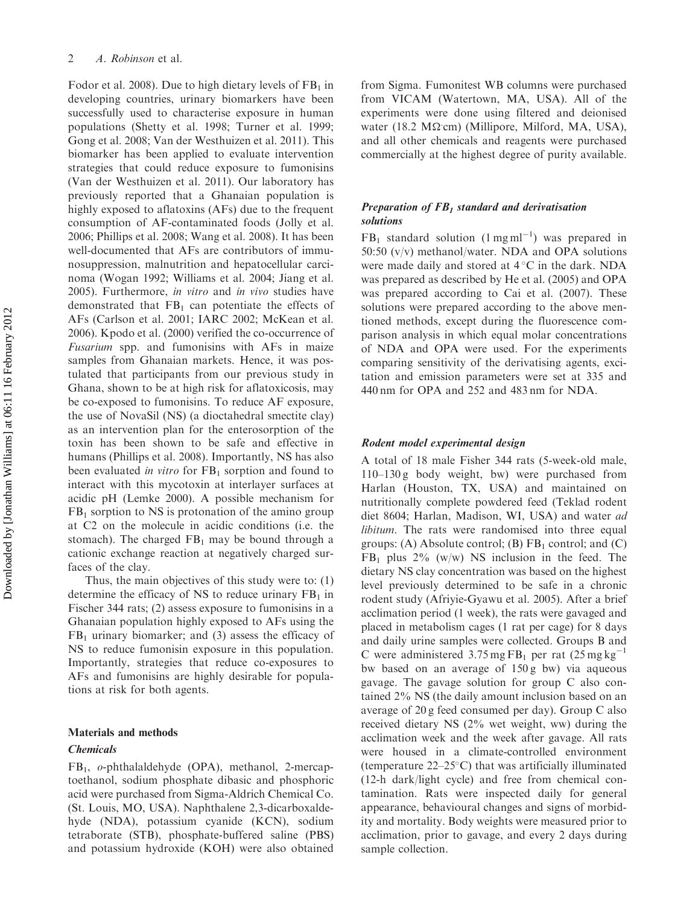Fodor et al. 2008). Due to high dietary levels of  $FB<sub>1</sub>$  in developing countries, urinary biomarkers have been successfully used to characterise exposure in human populations (Shetty et al. 1998; Turner et al. 1999; Gong et al. 2008; Van der Westhuizen et al. 2011). This biomarker has been applied to evaluate intervention strategies that could reduce exposure to fumonisins (Van der Westhuizen et al. 2011). Our laboratory has previously reported that a Ghanaian population is highly exposed to aflatoxins (AFs) due to the frequent consumption of AF-contaminated foods (Jolly et al. 2006; Phillips et al. 2008; Wang et al. 2008). It has been well-documented that AFs are contributors of immunosuppression, malnutrition and hepatocellular carcinoma (Wogan 1992; Williams et al. 2004; Jiang et al. 2005). Furthermore, in vitro and in vivo studies have demonstrated that  $FB<sub>1</sub>$  can potentiate the effects of AFs (Carlson et al. 2001; IARC 2002; McKean et al. 2006). Kpodo et al. (2000) verified the co-occurrence of Fusarium spp. and fumonisins with AFs in maize samples from Ghanaian markets. Hence, it was postulated that participants from our previous study in Ghana, shown to be at high risk for aflatoxicosis, may be co-exposed to fumonisins. To reduce AF exposure, the use of NovaSil (NS) (a dioctahedral smectite clay) as an intervention plan for the enterosorption of the toxin has been shown to be safe and effective in humans (Phillips et al. 2008). Importantly, NS has also been evaluated in vitro for  $FB<sub>1</sub>$  sorption and found to interact with this mycotoxin at interlayer surfaces at acidic pH (Lemke 2000). A possible mechanism for  $FB<sub>1</sub>$  sorption to NS is protonation of the amino group at C2 on the molecule in acidic conditions (i.e. the stomach). The charged  $FB<sub>1</sub>$  may be bound through a cationic exchange reaction at negatively charged surfaces of the clay.

Thus, the main objectives of this study were to: (1) determine the efficacy of NS to reduce urinary  $FB<sub>1</sub>$  in Fischer 344 rats; (2) assess exposure to fumonisins in a Ghanaian population highly exposed to AFs using the  $FB<sub>1</sub>$  urinary biomarker; and (3) assess the efficacy of NS to reduce fumonisin exposure in this population. Importantly, strategies that reduce co-exposures to AFs and fumonisins are highly desirable for populations at risk for both agents.

#### Materials and methods

#### Chemicals

 $FB<sub>1</sub>$ , *o*-phthalaldehyde (OPA), methanol, 2-mercaptoethanol, sodium phosphate dibasic and phosphoric acid were purchased from Sigma-Aldrich Chemical Co. (St. Louis, MO, USA). Naphthalene 2,3-dicarboxaldehyde (NDA), potassium cyanide (KCN), sodium tetraborate (STB), phosphate-buffered saline (PBS) and potassium hydroxide (KOH) were also obtained from Sigma. Fumonitest WB columns were purchased from VICAM (Watertown, MA, USA). All of the experiments were done using filtered and deionised water (18.2 M $\Omega$ cm) (Millipore, Milford, MA, USA), and all other chemicals and reagents were purchased commercially at the highest degree of purity available.

#### Preparation of  $FB<sub>1</sub>$  standard and derivatisation solutions

 $FB<sub>1</sub>$  standard solution (1 mg ml<sup>-1</sup>) was prepared in 50:50 (v/v) methanol/water. NDA and OPA solutions were made daily and stored at  $4^{\circ}$ C in the dark. NDA was prepared as described by He et al. (2005) and OPA was prepared according to Cai et al. (2007). These solutions were prepared according to the above mentioned methods, except during the fluorescence comparison analysis in which equal molar concentrations of NDA and OPA were used. For the experiments comparing sensitivity of the derivatising agents, excitation and emission parameters were set at 335 and 440 nm for OPA and 252 and 483 nm for NDA.

## Rodent model experimental design

A total of 18 male Fisher 344 rats (5-week-old male, 110–130 g body weight, bw) were purchased from Harlan (Houston, TX, USA) and maintained on nutritionally complete powdered feed (Teklad rodent diet 8604; Harlan, Madison, WI, USA) and water *ad* libitum. The rats were randomised into three equal groups: (A) Absolute control; (B)  $FB<sub>1</sub>$  control; and (C)  $FB<sub>1</sub>$  plus 2% (w/w) NS inclusion in the feed. The dietary NS clay concentration was based on the highest level previously determined to be safe in a chronic rodent study (Afriyie-Gyawu et al. 2005). After a brief acclimation period (1 week), the rats were gavaged and placed in metabolism cages (1 rat per cage) for 8 days and daily urine samples were collected. Groups B and C were administered  $3.75 \text{ mg} \text{FB}_1$  per rat  $(25 \text{ mg} \text{ kg}^{-1})$ bw based on an average of 150 g bw) via aqueous gavage. The gavage solution for group C also contained 2% NS (the daily amount inclusion based on an average of 20 g feed consumed per day). Group C also received dietary NS (2% wet weight, ww) during the acclimation week and the week after gavage. All rats were housed in a climate-controlled environment (temperature  $22-25$ °C) that was artificially illuminated (12-h dark/light cycle) and free from chemical contamination. Rats were inspected daily for general appearance, behavioural changes and signs of morbidity and mortality. Body weights were measured prior to acclimation, prior to gavage, and every 2 days during sample collection.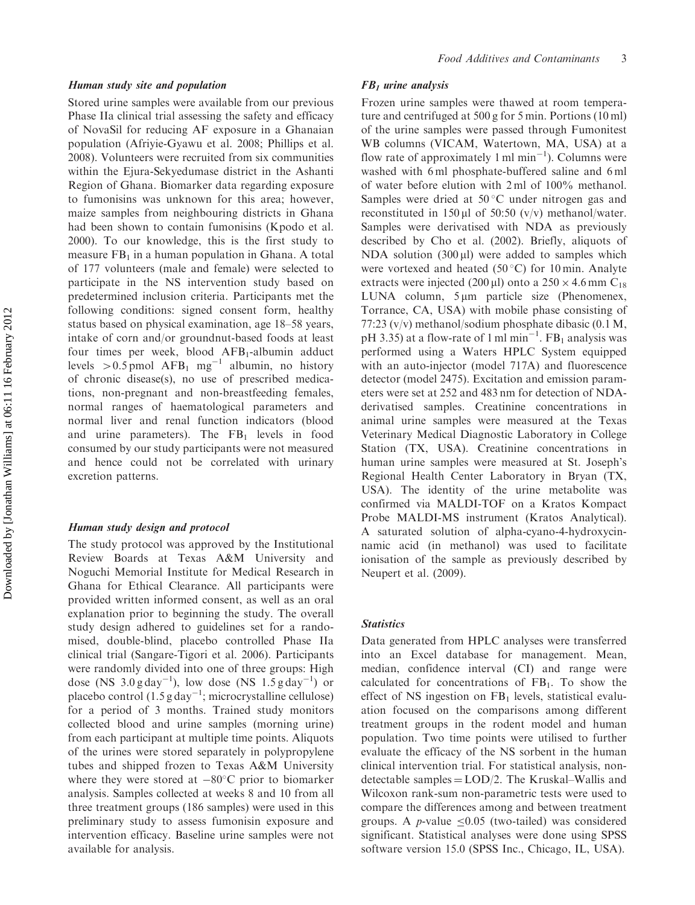#### Human study site and population

Stored urine samples were available from our previous Phase IIa clinical trial assessing the safety and efficacy of NovaSil for reducing AF exposure in a Ghanaian population (Afriyie-Gyawu et al. 2008; Phillips et al. 2008). Volunteers were recruited from six communities within the Ejura-Sekyedumase district in the Ashanti Region of Ghana. Biomarker data regarding exposure to fumonisins was unknown for this area; however, maize samples from neighbouring districts in Ghana had been shown to contain fumonisins (Kpodo et al. 2000). To our knowledge, this is the first study to measure  $FB<sub>1</sub>$  in a human population in Ghana. A total of 177 volunteers (male and female) were selected to participate in the NS intervention study based on predetermined inclusion criteria. Participants met the following conditions: signed consent form, healthy status based on physical examination, age 18–58 years, intake of corn and/or groundnut-based foods at least four times per week, blood  $AFB<sub>1</sub>$ -albumin adduct levels  $> 0.5$  pmol AFB<sub>1</sub> mg<sup>-1</sup> albumin, no history of chronic disease(s), no use of prescribed medications, non-pregnant and non-breastfeeding females, normal ranges of haematological parameters and normal liver and renal function indicators (blood and urine parameters). The  $FB<sub>1</sub>$  levels in food consumed by our study participants were not measured and hence could not be correlated with urinary excretion patterns.

#### Human study design and protocol

The study protocol was approved by the Institutional Review Boards at Texas A&M University and Noguchi Memorial Institute for Medical Research in Ghana for Ethical Clearance. All participants were provided written informed consent, as well as an oral explanation prior to beginning the study. The overall study design adhered to guidelines set for a randomised, double-blind, placebo controlled Phase IIa clinical trial (Sangare-Tigori et al. 2006). Participants were randomly divided into one of three groups: High dose (NS  $3.0 \text{ g day}^{-1}$ ), low dose (NS  $1.5 \text{ g day}^{-1}$ ) or placebo control (1.5 g day<sup>-1</sup>; microcrystalline cellulose) for a period of 3 months. Trained study monitors collected blood and urine samples (morning urine) from each participant at multiple time points. Aliquots of the urines were stored separately in polypropylene tubes and shipped frozen to Texas A&M University where they were stored at  $-80^{\circ}$ C prior to biomarker analysis. Samples collected at weeks 8 and 10 from all three treatment groups (186 samples) were used in this preliminary study to assess fumonisin exposure and intervention efficacy. Baseline urine samples were not available for analysis.

#### $FB<sub>1</sub>$  urine analysis

Frozen urine samples were thawed at room temperature and centrifuged at 500 g for 5 min. Portions (10 ml) of the urine samples were passed through Fumonitest WB columns (VICAM, Watertown, MA, USA) at a flow rate of approximately 1 ml  $min^{-1}$ ). Columns were washed with 6 ml phosphate-buffered saline and 6 ml of water before elution with 2 ml of 100% methanol. Samples were dried at  $50^{\circ}$ C under nitrogen gas and reconstituted in 150  $\mu$ l of 50:50 (v/v) methanol/water. Samples were derivatised with NDA as previously described by Cho et al. (2002). Briefly, aliquots of NDA solution  $(300 \,\mu\text{I})$  were added to samples which were vortexed and heated (50 $^{\circ}$ C) for 10 min. Analyte extracts were injected (200 µl) onto a  $250 \times 4.6$  mm C<sub>18</sub> LUNA column,  $5 \mu m$  particle size (Phenomenex, Torrance, CA, USA) with mobile phase consisting of 77:23 (v/v) methanol/sodium phosphate dibasic (0.1 M, pH 3.35) at a flow-rate of 1 ml min<sup>-1</sup>.  $FB<sub>1</sub>$  analysis was performed using a Waters HPLC System equipped with an auto-injector (model 717A) and fluorescence detector (model 2475). Excitation and emission parameters were set at 252 and 483 nm for detection of NDAderivatised samples. Creatinine concentrations in animal urine samples were measured at the Texas Veterinary Medical Diagnostic Laboratory in College Station (TX, USA). Creatinine concentrations in human urine samples were measured at St. Joseph's Regional Health Center Laboratory in Bryan (TX, USA). The identity of the urine metabolite was confirmed via MALDI-TOF on a Kratos Kompact Probe MALDI-MS instrument (Kratos Analytical). A saturated solution of alpha-cyano-4-hydroxycinnamic acid (in methanol) was used to facilitate ionisation of the sample as previously described by Neupert et al. (2009).

#### **Statistics**

Data generated from HPLC analyses were transferred into an Excel database for management. Mean, median, confidence interval (CI) and range were calculated for concentrations of  $FB<sub>1</sub>$ . To show the effect of NS ingestion on  $FB<sub>1</sub>$  levels, statistical evaluation focused on the comparisons among different treatment groups in the rodent model and human population. Two time points were utilised to further evaluate the efficacy of the NS sorbent in the human clinical intervention trial. For statistical analysis, nondetectable samples  $=$  LOD/2. The Kruskal–Wallis and Wilcoxon rank-sum non-parametric tests were used to compare the differences among and between treatment groups. A *p*-value  $\leq 0.05$  (two-tailed) was considered significant. Statistical analyses were done using SPSS software version 15.0 (SPSS Inc., Chicago, IL, USA).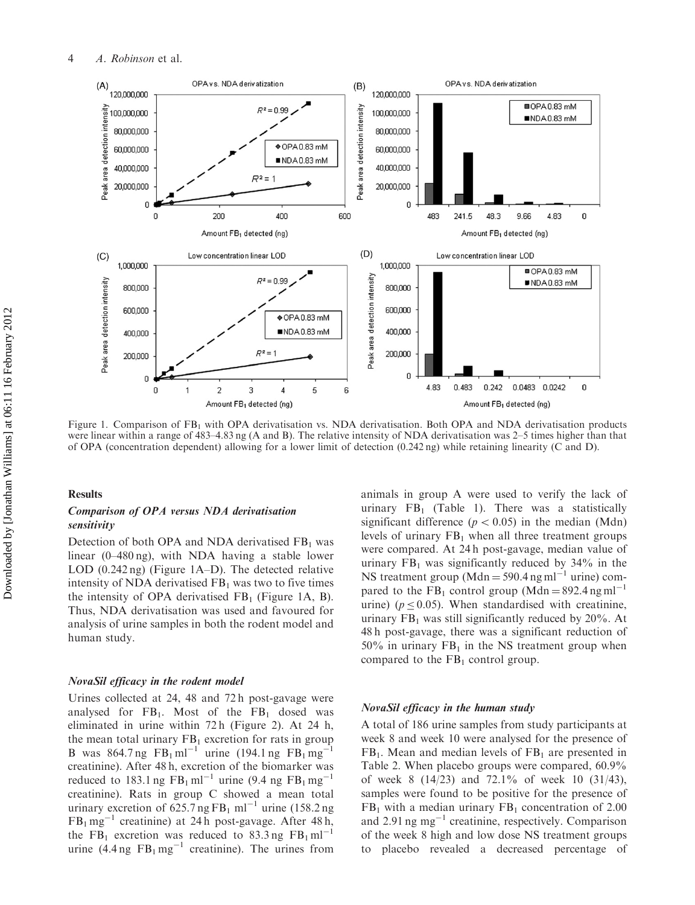

Figure 1. Comparison of FB<sub>1</sub> with OPA derivatisation vs. NDA derivatisation. Both OPA and NDA derivatisation products were linear within a range of 483–4.83 ng (A and B). The relative intensity of NDA derivatisation was 2–5 times higher than that of OPA (concentration dependent) allowing for a lower limit of detection (0.242 ng) while retaining linearity (C and D).

### Results

## Comparison of OPA versus NDA derivatisation sensitivity

Detection of both OPA and NDA derivatised  $FB<sub>1</sub>$  was linear (0–480 ng), with NDA having a stable lower LOD (0.242 ng) (Figure 1A–D). The detected relative intensity of NDA derivatised  $FB<sub>1</sub>$  was two to five times the intensity of OPA derivatised  $FB<sub>1</sub>$  (Figure 1A, B). Thus, NDA derivatisation was used and favoured for analysis of urine samples in both the rodent model and human study.

## NovaSil efficacy in the rodent model

Urines collected at 24, 48 and 72 h post-gavage were analysed for  $FB_1$ . Most of the  $FB_1$  dosed was eliminated in urine within 72 h (Figure 2). At 24 h, the mean total urinary  $FB<sub>1</sub>$  excretion for rats in group B was 864.7 ng  $FB_1 \text{ ml}^{-1}$  urine (194.1 ng  $FB_1 \text{ mg}^{-1}$ creatinine). After 48 h, excretion of the biomarker was reduced to 183.1 ng  $FB_1 \text{ ml}^{-1}$  urine (9.4 ng  $FB_1 \text{ mg}^{-1}$ creatinine). Rats in group C showed a mean total urinary excretion of  $625.7$  ng FB<sub>1</sub> ml<sup>-1</sup> urine (158.2 ng  $FB<sub>1</sub> mg<sup>-1</sup>$  creatinine) at 24h post-gavage. After 48h, the  $FB_1$  excretion was reduced to 83.3 ng  $FB_1 \text{ ml}^{-1}$ urine  $(4.4 \text{ ng } FB_1 \text{ mg}^{-1}$  creatinine). The urines from animals in group A were used to verify the lack of urinary  $FB<sub>1</sub>$  (Table 1). There was a statistically significant difference ( $p < 0.05$ ) in the median (Mdn) levels of urinary  $FB<sub>1</sub>$  when all three treatment groups were compared. At 24 h post-gavage, median value of urinary  $FB<sub>1</sub>$  was significantly reduced by 34% in the NS treatment group (Mdn = 590.4 ng ml<sup>-1</sup> urine) compared to the  $FB_1$  control group (Mdn = 892.4 ng ml<sup>-1</sup> urine) ( $p < 0.05$ ). When standardised with creatinine, urinary  $FB<sub>1</sub>$  was still significantly reduced by 20%. At 48 h post-gavage, there was a significant reduction of 50% in urinary  $FB<sub>1</sub>$  in the NS treatment group when compared to the  $FB<sub>1</sub>$  control group.

#### NovaSil efficacy in the human study

A total of 186 urine samples from study participants at week 8 and week 10 were analysed for the presence of  $FB<sub>1</sub>$ . Mean and median levels of  $FB<sub>1</sub>$  are presented in Table 2. When placebo groups were compared, 60.9% of week 8 (14/23) and 72.1% of week 10 (31/43), samples were found to be positive for the presence of  $FB<sub>1</sub>$  with a median urinary  $FB<sub>1</sub>$  concentration of 2.00 and 2.91  $\text{ng}$  mg<sup>-1</sup> creatinine, respectively. Comparison of the week 8 high and low dose NS treatment groups to placebo revealed a decreased percentage of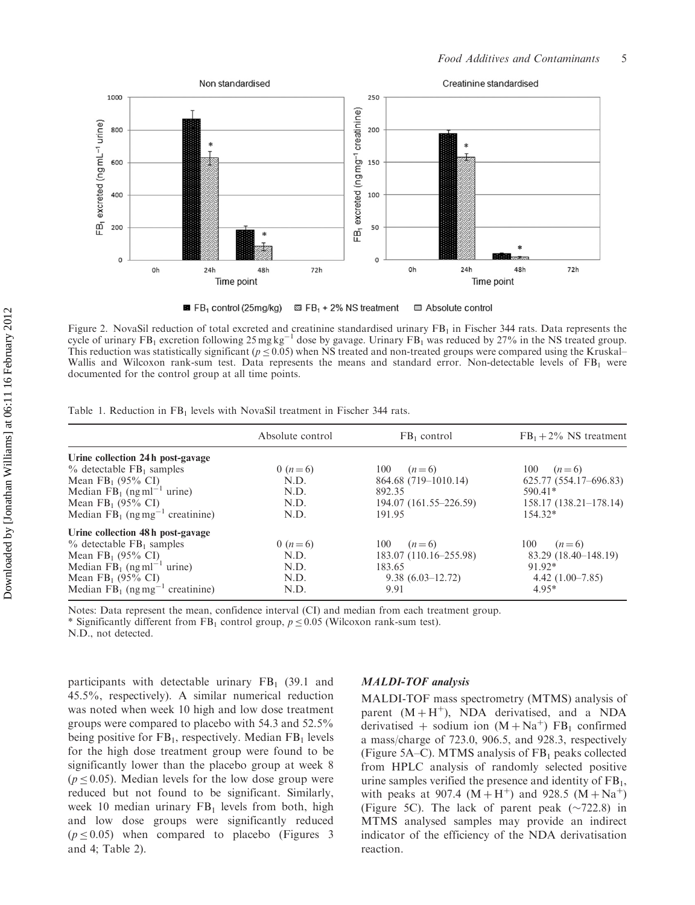

 $B$  FB<sub>1</sub> control (25mg/kg)  $\boxtimes$  FB<sub>1</sub> + 2% NS treatment Absolute control

Figure 2. NovaSil reduction of total excreted and creatinine standardised urinary  $FB<sub>1</sub>$  in Fischer 344 rats. Data represents the cycle of urinary  $FB_1$  excretion following 25 mg kg<sup>-1</sup> dose by gavage. Urinary  $FB_1$  was reduced by 27% in the NS treated group. This reduction was statistically significant ( $p \le 0.05$ ) when NS treated and non-treated groups were compared using the Kruskal– Wallis and Wilcoxon rank-sum test. Data represents the means and standard error. Non-detectable levels of FB<sub>1</sub> were documented for the control group at all time points.

|                                                                                          | Absolute control | $FB1$ control          | $FB_1 + 2\%$ NS treatment |
|------------------------------------------------------------------------------------------|------------------|------------------------|---------------------------|
| Urine collection 24h post-gavage                                                         |                  |                        |                           |
| $%$ detectable $FB1$ samples                                                             | 0 $(n=6)$        | 100<br>$(n=6)$         | 100 $(n=6)$               |
| Mean $FB_1$ (95% CI)                                                                     | N.D.             | 864.68 (719–1010.14)   | 625.77 (554.17-696.83)    |
| Median $FB_1$ (ng ml <sup>-1</sup> urine)                                                | N.D.             | 892.35                 | $590.41*$                 |
|                                                                                          | N.D.             | 194.07 (161.55–226.59) | $158.17(138.21-178.14)$   |
| Mean FB <sub>1</sub> (95% CI)<br>Median FB <sub>1</sub> (ng mg <sup>-1</sup> creatinine) | N.D.             | 191.95                 | $154.32*$                 |
| Urine collection 48h post-gavage                                                         |                  |                        |                           |
| $\%$ detectable FB <sub>1</sub> samples                                                  | 0 $(n=6)$        | 100 $(n=6)$            | 100 $(n=6)$               |
| Mean $FB_1$ (95% CI)                                                                     | N.D.             | 183.07 (110.16–255.98) | 83.29 (18.40–148.19)      |
| Median $FB_1$ (ng ml <sup>-1</sup> urine)                                                | N.D.             | 183.65                 | 91.92*                    |
| Mean $FB_1$ (95% CI)                                                                     | N.D.             | $9.38(6.03-12.72)$     | $4.42(1.00-7.85)$         |
| Median $FB_1$ (ng mg <sup>-1</sup> creatinine)                                           | N.D.             | 9.91                   | $4.95*$                   |

Notes: Data represent the mean, confidence interval (CI) and median from each treatment group.

\* Significantly different from FB<sub>1</sub> control group,  $p \le 0.05$  (Wilcoxon rank-sum test).

N.D., not detected.

participants with detectable urinary  $FB<sub>1</sub>$  (39.1 and 45.5%, respectively). A similar numerical reduction was noted when week 10 high and low dose treatment groups were compared to placebo with 54.3 and 52.5% being positive for  $FB<sub>1</sub>$ , respectively. Median  $FB<sub>1</sub>$  levels for the high dose treatment group were found to be significantly lower than the placebo group at week 8  $(p \le 0.05)$ . Median levels for the low dose group were reduced but not found to be significant. Similarly, week 10 median urinary  $FB<sub>1</sub>$  levels from both, high and low dose groups were significantly reduced  $(p \le 0.05)$  when compared to placebo (Figures 3) and 4; Table 2).

#### MALDI-TOF analysis

MALDI-TOF mass spectrometry (MTMS) analysis of parent  $(M + H^+)$ , NDA derivatised, and a NDA derivatised + sodium ion  $(M + Na<sup>+</sup>)$  FB<sub>1</sub> confirmed a mass/charge of 723.0, 906.5, and 928.3, respectively (Figure 5A–C). MTMS analysis of  $FB<sub>1</sub>$  peaks collected from HPLC analysis of randomly selected positive urine samples verified the presence and identity of  $FB<sub>1</sub>$ , with peaks at 907.4  $(M + H^+)$  and 928.5  $(M + Na^+)$ (Figure 5C). The lack of parent peak  $(\sim 722.8)$  in MTMS analysed samples may provide an indirect indicator of the efficiency of the NDA derivatisation reaction.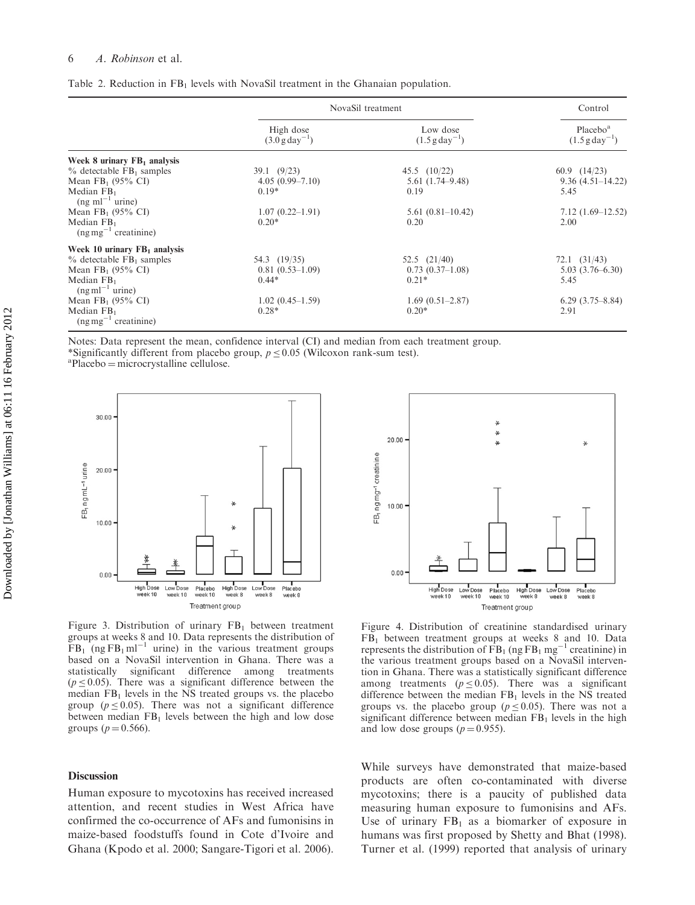#### 6 A. Robinson et al.

|                                                      | NovaSil treatment                       |                                        | Control                                            |
|------------------------------------------------------|-----------------------------------------|----------------------------------------|----------------------------------------------------|
|                                                      | High dose<br>$(3.0 \text{ g day}^{-1})$ | Low dose<br>$(1.5 \text{ g day}^{-1})$ | Placebo <sup>a</sup><br>$(1.5 \text{ g day}^{-1})$ |
| Week 8 urinary $FB1$ analysis                        |                                         |                                        |                                                    |
| $\%$ detectable FB <sub>1</sub> samples              | 39.1 (9/23)                             | 45.5 $(10/22)$                         | 60.9 $(14/23)$                                     |
| Mean $FB_1$ (95% CI)                                 | $4.05(0.99 - 7.10)$                     | $5.61(1.74 - 9.48)$                    | $9.36(4.51 - 14.22)$                               |
| Median $FB1$<br>$(ng \text{ ml}^{-1} \text{ urine})$ | $0.19*$                                 | 0.19                                   | 5.45                                               |
| Mean $FB_1$ (95% CI)                                 | $1.07(0.22 - 1.91)$                     | $5.61(0.81-10.42)$                     | $7.12(1.69-12.52)$                                 |
| Median $FB1$<br>$(ng mg^{-1}$ creatinine)            | $0.20*$                                 | 0.20                                   | 2.00                                               |
| Week 10 urinary $FB1$ analysis                       |                                         |                                        |                                                    |
| $%$ detectable $FB1$ samples                         | 54.3 (19/35)                            | 52.5 $(21/40)$                         | $72.1$ $(31/43)$                                   |
| Mean $FB_1$ (95% CI)                                 | $0.81(0.53-1.09)$                       | $0.73(0.37-1.08)$                      | $5.03(3.76-6.30)$                                  |
| Median $FB1$<br>$(ng\,ml^{-1}$ urine)                | $0.44*$                                 | $0.21*$                                | 5.45                                               |
| Mean $FB_1$ (95% CI)                                 | $1.02(0.45-1.59)$                       | $1.69(0.51-2.87)$                      | $6.29(3.75-8.84)$                                  |
| Median $FB1$<br>$(ng mg^{-1}$ creatinine)            | $0.28*$                                 | $0.20*$                                | 2.91                                               |

| Table 2. Reduction in $FB1$ levels with NovaSil treatment in the Ghanaian population. |  |
|---------------------------------------------------------------------------------------|--|
|---------------------------------------------------------------------------------------|--|

Notes: Data represent the mean, confidence interval (CI) and median from each treatment group.

\*Significantly different from placebo group,  $p \le 0.05$  (Wilcoxon rank-sum test).

 ${}^{a}$ Placebo = microcrystalline cellulose.



Figure 3. Distribution of urinary  $FB<sub>1</sub>$  between treatment groups at weeks 8 and 10. Data represents the distribution of  $FB<sub>1</sub>$  (ng  $FB<sub>1</sub>$  ml<sup>-1</sup> urine) in the various treatment groups based on a NovaSil intervention in Ghana. There was a statistically significant difference among treatments  $(p \le 0.05)$ . There was a significant difference between the median  $FB<sub>1</sub>$  levels in the NS treated groups vs. the placebo group ( $p \le 0.05$ ). There was not a significant difference between median  $FB<sub>1</sub>$  levels between the high and low dose groups ( $p = 0.566$ ).

## Discussion

Human exposure to mycotoxins has received increased attention, and recent studies in West Africa have confirmed the co-occurrence of AFs and fumonisins in maize-based foodstuffs found in Cote d'Ivoire and Ghana (Kpodo et al. 2000; Sangare-Tigori et al. 2006).



Figure 4. Distribution of creatinine standardised urinary  $FB<sub>1</sub>$  between treatment groups at weeks 8 and 10. Data represents the distribution of  $FB<sub>1</sub>$  (ng FB<sub>1</sub> mg<sup>-1</sup> creatinine) in the various treatment groups based on a NovaSil intervention in Ghana. There was a statistically significant difference among treatments ( $p \le 0.05$ ). There was a significant difference between the median  $FB<sub>1</sub>$  levels in the NS treated groups vs. the placebo group ( $p \le 0.05$ ). There was not a significant difference between median  $FB<sub>1</sub>$  levels in the high and low dose groups ( $p = 0.955$ ).

While surveys have demonstrated that maize-based products are often co-contaminated with diverse mycotoxins; there is a paucity of published data measuring human exposure to fumonisins and AFs. Use of urinary  $FB<sub>1</sub>$  as a biomarker of exposure in humans was first proposed by Shetty and Bhat (1998). Turner et al. (1999) reported that analysis of urinary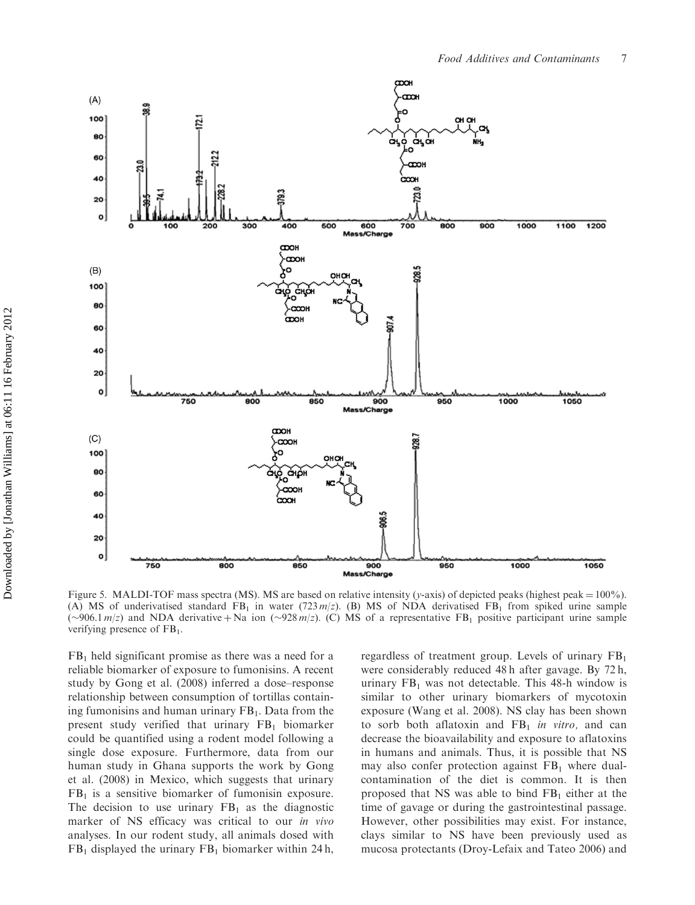

Figure 5. MALDI-TOF mass spectra (MS). MS are based on relative intensity (y-axis) of depicted peaks (highest peak =  $100\%$ ). (A) MS of underivatised standard FB<sub>1</sub> in water (723 m/z). (B) MS of NDA derivatised FB<sub>1</sub> from spiked urine sample ( $\sim$ 906.1 m/z) and NDA derivative + Na ion ( $\sim$ 928 m/z). (C) MS of a representative FB<sub>1</sub> positive participant urine sample verifying presence of  $FB<sub>1</sub>$ .

 $FB<sub>1</sub>$  held significant promise as there was a need for a reliable biomarker of exposure to fumonisins. A recent study by Gong et al. (2008) inferred a dose–response relationship between consumption of tortillas containing fumonisins and human urinary  $FB<sub>1</sub>$ . Data from the present study verified that urinary  $FB<sub>1</sub>$  biomarker could be quantified using a rodent model following a single dose exposure. Furthermore, data from our human study in Ghana supports the work by Gong et al. (2008) in Mexico, which suggests that urinary  $FB<sub>1</sub>$  is a sensitive biomarker of fumonisin exposure. The decision to use urinary  $FB<sub>1</sub>$  as the diagnostic marker of NS efficacy was critical to our in vivo analyses. In our rodent study, all animals dosed with  $FB<sub>1</sub>$  displayed the urinary  $FB<sub>1</sub>$  biomarker within 24 h,

regardless of treatment group. Levels of urinary  $FB<sub>1</sub>$ were considerably reduced 48 h after gavage. By 72 h, urinary  $FB<sub>1</sub>$  was not detectable. This 48-h window is similar to other urinary biomarkers of mycotoxin exposure (Wang et al. 2008). NS clay has been shown to sorb both aflatoxin and  $FB<sub>1</sub>$  in vitro, and can decrease the bioavailability and exposure to aflatoxins in humans and animals. Thus, it is possible that NS may also confer protection against  $FB<sub>1</sub>$  where dualcontamination of the diet is common. It is then proposed that NS was able to bind  $FB<sub>1</sub>$  either at the time of gavage or during the gastrointestinal passage. However, other possibilities may exist. For instance, clays similar to NS have been previously used as mucosa protectants (Droy-Lefaix and Tateo 2006) and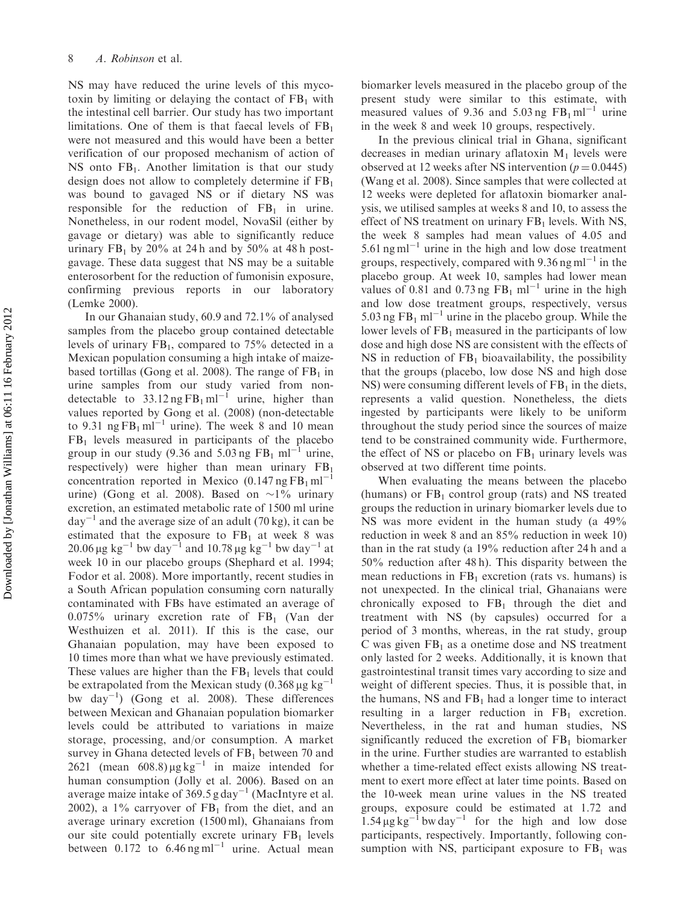NS may have reduced the urine levels of this mycotoxin by limiting or delaying the contact of  $FB<sub>1</sub>$  with the intestinal cell barrier. Our study has two important limitations. One of them is that faecal levels of  $FB<sub>1</sub>$ were not measured and this would have been a better verification of our proposed mechanism of action of NS onto  $FB<sub>1</sub>$ . Another limitation is that our study design does not allow to completely determine if  $FB<sub>1</sub>$ was bound to gavaged NS or if dietary NS was responsible for the reduction of  $FB<sub>1</sub>$  in urine. Nonetheless, in our rodent model, NovaSil (either by gavage or dietary) was able to significantly reduce urinary  $FB_1$  by 20% at 24 h and by 50% at 48 h postgavage. These data suggest that NS may be a suitable enterosorbent for the reduction of fumonisin exposure, confirming previous reports in our laboratory (Lemke 2000).

In our Ghanaian study, 60.9 and 72.1% of analysed samples from the placebo group contained detectable levels of urinary  $FB<sub>1</sub>$ , compared to 75% detected in a Mexican population consuming a high intake of maizebased tortillas (Gong et al. 2008). The range of  $FB<sub>1</sub>$  in urine samples from our study varied from nondetectable to  $33.12$  ng FB<sub>1</sub> ml<sup>-1</sup> urine, higher than values reported by Gong et al. (2008) (non-detectable to 9.31  $ng FB_1 ml^{-1}$  urine). The week 8 and 10 mean  $FB<sub>1</sub>$  levels measured in participants of the placebo group in our study (9.36 and 5.03 ng  $FB<sub>1</sub>$  ml<sup>-1</sup> urine, respectively) were higher than mean urinary  $FB<sub>1</sub>$ concentration reported in Mexico  $(0.147 \text{ ng } FB_1 \text{ ml}^{-1})$ urine) (Gong et al. 2008). Based on  $\sim$ 1% urinary excretion, an estimated metabolic rate of 1500 ml urine  $day^{-1}$  and the average size of an adult (70 kg), it can be estimated that the exposure to  $FB<sub>1</sub>$  at week 8 was 20.06  $\mu$ g kg<sup>-1</sup> bw day<sup>-1</sup> and 10.78  $\mu$ g kg<sup>-1</sup> bw day<sup>-1</sup> at week 10 in our placebo groups (Shephard et al. 1994; Fodor et al. 2008). More importantly, recent studies in a South African population consuming corn naturally contaminated with FBs have estimated an average of  $0.075\%$  urinary excretion rate of FB<sub>1</sub> (Van der Westhuizen et al. 2011). If this is the case, our Ghanaian population, may have been exposed to 10 times more than what we have previously estimated. These values are higher than the  $FB<sub>1</sub>$  levels that could be extrapolated from the Mexican study (0.368  $\mu$ g kg<sup>-1</sup> bw  $\text{day}^{-1}$ ) (Gong et al. 2008). These differences between Mexican and Ghanaian population biomarker levels could be attributed to variations in maize storage, processing, and/or consumption. A market survey in Ghana detected levels of  $FB<sub>1</sub>$  between 70 and 2621 (mean  $608.8 \mu\text{g}\text{kg}^{-1}$  in maize intended for human consumption (Jolly et al. 2006). Based on an average maize intake of  $369.5$  g day<sup>-1</sup> (MacIntyre et al. 2002), a  $1\%$  carryover of  $FB<sub>1</sub>$  from the diet, and an average urinary excretion (1500 ml), Ghanaians from our site could potentially excrete urinary  $FB<sub>1</sub>$  levels between  $0.172$  to  $6.46$  ng ml<sup>-1</sup> urine. Actual mean

biomarker levels measured in the placebo group of the present study were similar to this estimate, with measured values of 9.36 and 5.03 ng  $FB_1 \text{ ml}^{-1}$  urine in the week 8 and week 10 groups, respectively.

In the previous clinical trial in Ghana, significant decreases in median urinary aflatoxin  $M_1$  levels were observed at 12 weeks after NS intervention ( $p = 0.0445$ ) (Wang et al. 2008). Since samples that were collected at 12 weeks were depleted for aflatoxin biomarker analysis, we utilised samples at weeks 8 and 10, to assess the effect of NS treatment on urinary  $FB<sub>1</sub>$  levels. With NS, the week 8 samples had mean values of 4.05 and  $5.61$  ng ml<sup>-1</sup> urine in the high and low dose treatment groups, respectively, compared with  $9.36$  ng ml<sup>-1</sup> in the placebo group. At week 10, samples had lower mean values of 0.81 and 0.73 ng  $FB_1$  ml<sup>-1</sup> urine in the high and low dose treatment groups, respectively, versus 5.03 ng  $FB<sub>1</sub>$  ml<sup>-1</sup> urine in the placebo group. While the lower levels of  $FB<sub>1</sub>$  measured in the participants of low dose and high dose NS are consistent with the effects of NS in reduction of  $FB<sub>1</sub>$  bioavailability, the possibility that the groups (placebo, low dose NS and high dose NS) were consuming different levels of  $FB<sub>1</sub>$  in the diets, represents a valid question. Nonetheless, the diets ingested by participants were likely to be uniform throughout the study period since the sources of maize tend to be constrained community wide. Furthermore, the effect of NS or placebo on  $FB<sub>1</sub>$  urinary levels was observed at two different time points.

When evaluating the means between the placebo (humans) or  $FB<sub>1</sub>$  control group (rats) and NS treated groups the reduction in urinary biomarker levels due to NS was more evident in the human study (a 49% reduction in week 8 and an 85% reduction in week 10) than in the rat study (a 19% reduction after 24 h and a 50% reduction after 48 h). This disparity between the mean reductions in  $FB<sub>1</sub>$  excretion (rats vs. humans) is not unexpected. In the clinical trial, Ghanaians were chronically exposed to  $FB<sub>1</sub>$  through the diet and treatment with NS (by capsules) occurred for a period of 3 months, whereas, in the rat study, group C was given  $FB<sub>1</sub>$  as a onetime dose and NS treatment only lasted for 2 weeks. Additionally, it is known that gastrointestinal transit times vary according to size and weight of different species. Thus, it is possible that, in the humans, NS and  $FB<sub>1</sub>$  had a longer time to interact resulting in a larger reduction in  $FB<sub>1</sub>$  excretion. Nevertheless, in the rat and human studies, NS significantly reduced the excretion of  $FB<sub>1</sub>$  biomarker in the urine. Further studies are warranted to establish whether a time-related effect exists allowing NS treatment to exert more effect at later time points. Based on the 10-week mean urine values in the NS treated groups, exposure could be estimated at 1.72 and  $1.54 \mu g kg^{-1}$  bw day<sup>-1</sup> for the high and low dose participants, respectively. Importantly, following consumption with NS, participant exposure to  $FB<sub>1</sub>$  was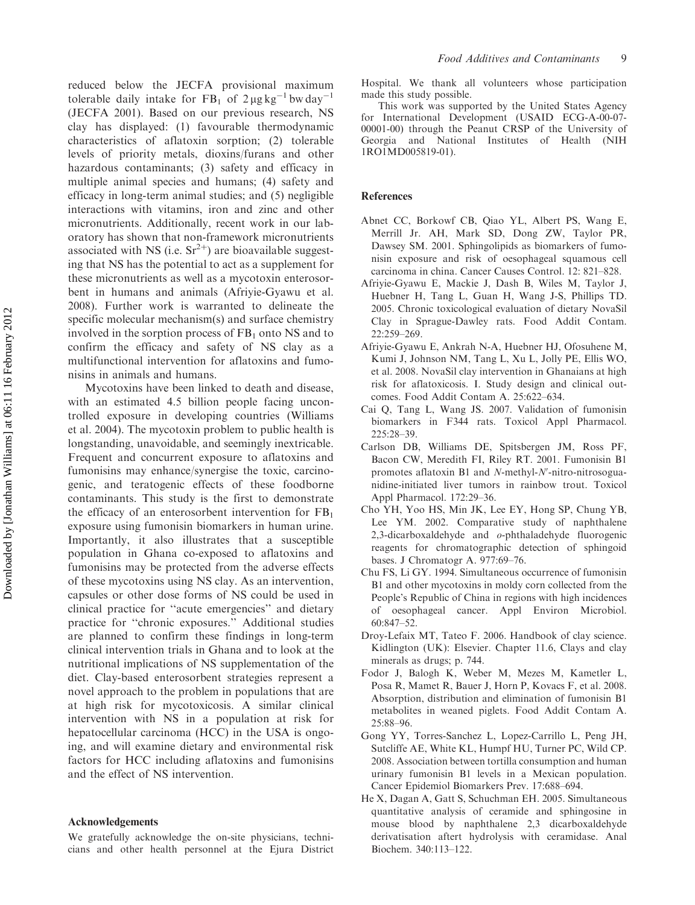reduced below the JECFA provisional maximum tolerable daily intake for  $FB_1$  of  $2 \mu g kg^{-1}$  bw day<sup>-1</sup> (JECFA 2001). Based on our previous research, NS clay has displayed: (1) favourable thermodynamic characteristics of aflatoxin sorption; (2) tolerable levels of priority metals, dioxins/furans and other hazardous contaminants; (3) safety and efficacy in multiple animal species and humans; (4) safety and efficacy in long-term animal studies; and (5) negligible interactions with vitamins, iron and zinc and other micronutrients. Additionally, recent work in our laboratory has shown that non-framework micronutrients associated with NS (i.e.  $Sr^{2+}$ ) are bioavailable suggesting that NS has the potential to act as a supplement for these micronutrients as well as a mycotoxin enterosorbent in humans and animals (Afriyie-Gyawu et al. 2008). Further work is warranted to delineate the specific molecular mechanism(s) and surface chemistry involved in the sorption process of  $FB<sub>1</sub>$  onto NS and to confirm the efficacy and safety of NS clay as a multifunctional intervention for aflatoxins and fumonisins in animals and humans.

Mycotoxins have been linked to death and disease, with an estimated 4.5 billion people facing uncontrolled exposure in developing countries (Williams et al. 2004). The mycotoxin problem to public health is longstanding, unavoidable, and seemingly inextricable. Frequent and concurrent exposure to aflatoxins and fumonisins may enhance/synergise the toxic, carcinogenic, and teratogenic effects of these foodborne contaminants. This study is the first to demonstrate the efficacy of an enterosorbent intervention for  $FB<sub>1</sub>$ exposure using fumonisin biomarkers in human urine. Importantly, it also illustrates that a susceptible population in Ghana co-exposed to aflatoxins and fumonisins may be protected from the adverse effects of these mycotoxins using NS clay. As an intervention, capsules or other dose forms of NS could be used in clinical practice for ''acute emergencies'' and dietary practice for ''chronic exposures.'' Additional studies are planned to confirm these findings in long-term clinical intervention trials in Ghana and to look at the nutritional implications of NS supplementation of the diet. Clay-based enterosorbent strategies represent a novel approach to the problem in populations that are at high risk for mycotoxicosis. A similar clinical intervention with NS in a population at risk for hepatocellular carcinoma (HCC) in the USA is ongoing, and will examine dietary and environmental risk factors for HCC including aflatoxins and fumonisins and the effect of NS intervention.

#### Acknowledgements

We gratefully acknowledge the on-site physicians, technicians and other health personnel at the Ejura District

Hospital. We thank all volunteers whose participation made this study possible.

This work was supported by the United States Agency for International Development (USAID ECG-A-00-07- 00001-00) through the Peanut CRSP of the University of Georgia and National Institutes of Health (NIH 1RO1MD005819-01).

#### **References**

- Abnet CC, Borkowf CB, Qiao YL, Albert PS, Wang E, Merrill Jr. AH, Mark SD, Dong ZW, Taylor PR, Dawsey SM. 2001. Sphingolipids as biomarkers of fumonisin exposure and risk of oesophageal squamous cell carcinoma in china. Cancer Causes Control. 12: 821–828.
- Afriyie-Gyawu E, Mackie J, Dash B, Wiles M, Taylor J, Huebner H, Tang L, Guan H, Wang J-S, Phillips TD. 2005. Chronic toxicological evaluation of dietary NovaSil Clay in Sprague-Dawley rats. Food Addit Contam. 22:259–269.
- Afriyie-Gyawu E, Ankrah N-A, Huebner HJ, Ofosuhene M, Kumi J, Johnson NM, Tang L, Xu L, Jolly PE, Ellis WO, et al. 2008. NovaSil clay intervention in Ghanaians at high risk for aflatoxicosis. I. Study design and clinical outcomes. Food Addit Contam A. 25:622–634.
- Cai Q, Tang L, Wang JS. 2007. Validation of fumonisin biomarkers in F344 rats. Toxicol Appl Pharmacol. 225:28–39.
- Carlson DB, Williams DE, Spitsbergen JM, Ross PF, Bacon CW, Meredith FI, Riley RT. 2001. Fumonisin B1 promotes aflatoxin B1 and  $N$ -methyl- $N'$ -nitro-nitrosoguanidine-initiated liver tumors in rainbow trout. Toxicol Appl Pharmacol. 172:29–36.
- Cho YH, Yoo HS, Min JK, Lee EY, Hong SP, Chung YB, Lee YM. 2002. Comparative study of naphthalene 2,3-dicarboxaldehyde and o-phthaladehyde fluorogenic reagents for chromatographic detection of sphingoid bases. J Chromatogr A. 977:69–76.
- Chu FS, Li GY. 1994. Simultaneous occurrence of fumonisin B1 and other mycotoxins in moldy corn collected from the People's Republic of China in regions with high incidences of oesophageal cancer. Appl Environ Microbiol. 60:847–52.
- Droy-Lefaix MT, Tateo F. 2006. Handbook of clay science. Kidlington (UK): Elsevier. Chapter 11.6, Clays and clay minerals as drugs; p. 744.
- Fodor J, Balogh K, Weber M, Mezes M, Kametler L, Posa R, Mamet R, Bauer J, Horn P, Kovacs F, et al. 2008. Absorption, distribution and elimination of fumonisin B1 metabolites in weaned piglets. Food Addit Contam A. 25:88–96.
- Gong YY, Torres-Sanchez L, Lopez-Carrillo L, Peng JH, Sutcliffe AE, White KL, Humpf HU, Turner PC, Wild CP. 2008. Association between tortilla consumption and human urinary fumonisin B1 levels in a Mexican population. Cancer Epidemiol Biomarkers Prev. 17:688–694.
- He X, Dagan A, Gatt S, Schuchman EH. 2005. Simultaneous quantitative analysis of ceramide and sphingosine in mouse blood by naphthalene 2,3 dicarboxaldehyde derivatisation aftert hydrolysis with ceramidase. Anal Biochem. 340:113–122.